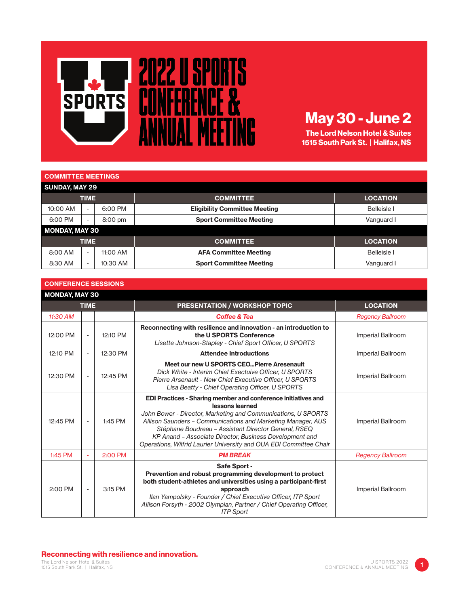

## May 30 - June 2

The Lord Nelson Hotel & Suites 1515 South Park St. | Halifax, NS

## COMMITTEE MEETINGS

| <b>SUNDAY, MAY 29</b> |                          |          |                                      |                    |  |  |
|-----------------------|--------------------------|----------|--------------------------------------|--------------------|--|--|
|                       | <b>TIME</b>              |          | <b>COMMITTEE</b>                     | <b>LOCATION</b>    |  |  |
| 10:00 AM              | $\overline{\phantom{0}}$ | 6:00 PM  | <b>Eligibility Committee Meeting</b> | <b>Belleisle</b> I |  |  |
| 6:00 PM               | -                        | 8:00 pm  | <b>Sport Committee Meeting</b>       | Vanguard I         |  |  |
| MONDAY, MAY 30        |                          |          |                                      |                    |  |  |
| <b>TIME</b>           |                          |          | <b>COMMITTEE</b>                     | <b>LOCATION</b>    |  |  |
| 8:00 AM               | $\overline{\phantom{a}}$ | 11:00 AM | <b>AFA Committee Meeting</b>         | <b>Belleisle</b> I |  |  |
| 8:30 AM               | -                        | 10:30 AM | <b>Sport Committee Meeting</b>       | Vanguard I         |  |  |

| <b>CONFERENCE SESSIONS</b> |                          |          |                                                                                                                                                                                                                                                                                                                                                                                                                   |                         |  |
|----------------------------|--------------------------|----------|-------------------------------------------------------------------------------------------------------------------------------------------------------------------------------------------------------------------------------------------------------------------------------------------------------------------------------------------------------------------------------------------------------------------|-------------------------|--|
| <b>MONDAY, MAY 30</b>      |                          |          |                                                                                                                                                                                                                                                                                                                                                                                                                   |                         |  |
| <b>TIME</b>                |                          |          | <b>PRESENTATION / WORKSHOP TOPIC</b>                                                                                                                                                                                                                                                                                                                                                                              | <b>LOCATION</b>         |  |
| 11:30 AM                   |                          |          | <b>Coffee &amp; Tea</b>                                                                                                                                                                                                                                                                                                                                                                                           | <b>Regency Ballroom</b> |  |
| 12:00 PM                   |                          | 12:10 PM | Reconnecting with resilience and innovation - an introduction to<br>the U SPORTS Conference<br>Lisette Johnson-Stapley - Chief Sport Officer, U SPORTS                                                                                                                                                                                                                                                            | Imperial Ballroom       |  |
| 12:10 PM                   | $\blacksquare$           | 12:30 PM | <b>Attendee Introductions</b>                                                                                                                                                                                                                                                                                                                                                                                     | Imperial Ballroom       |  |
| 12:30 PM                   | $\blacksquare$           | 12:45 PM | Meet our new U SPORTS CEO Pierre Aresenault<br>Dick White - Interim Chief Exectuive Officer, U SPORTS<br>Pierre Arsenault - New Chief Executive Officer, U SPORTS<br>Lisa Beatty - Chief Operating Officer, U SPORTS                                                                                                                                                                                              | Imperial Ballroom       |  |
| 12:45 PM                   |                          | 1:45 PM  | <b>EDI Practices - Sharing member and conference initiatives and</b><br>lessons learned<br>John Bower - Director, Marketing and Communications, U SPORTS<br>Allison Saunders - Communications and Marketing Manager, AUS<br>Stéphane Boudreau - Assistant Director General, RSEQ<br>KP Anand - Associate Director, Business Development and<br>Operations, Wilfrid Laurier University and OUA EDI Committee Chair | Imperial Ballroom       |  |
| $1:45$ PM                  | ٠                        | 2:00 PM  | <b>PM BREAK</b>                                                                                                                                                                                                                                                                                                                                                                                                   | <b>Regency Ballroom</b> |  |
| 2:00 PM                    | $\overline{\phantom{a}}$ | 3:15 PM  | Safe Sport -<br>Prevention and robust programming development to protect<br>both student-athletes and universities using a participant-first<br>approach<br>Ilan Yampolsky - Founder / Chief Executive Officer, ITP Sport<br>Allison Forsyth - 2002 Olympian, Partner / Chief Operating Officer,<br><b>ITP Sport</b>                                                                                              | Imperial Ballroom       |  |

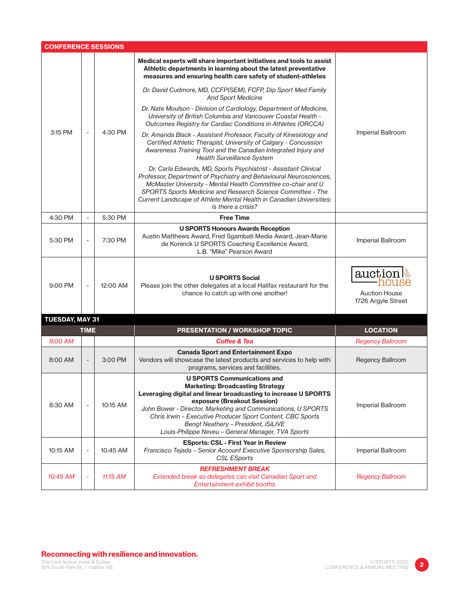| <b>CONFERENCE SESSIONS</b> |                          |          |                                                                                                                                                                                                                                                                                                                                                                                                             |                                                       |  |
|----------------------------|--------------------------|----------|-------------------------------------------------------------------------------------------------------------------------------------------------------------------------------------------------------------------------------------------------------------------------------------------------------------------------------------------------------------------------------------------------------------|-------------------------------------------------------|--|
| 3:15 PM                    |                          | 4:30 PM  | Medical experts will share important initiatives and tools to assist<br>Athletic departments in learning about the latest preventative<br>measures and ensuring health care safety of student-athletes                                                                                                                                                                                                      | Imperial Ballroom                                     |  |
|                            |                          |          | Dr. David Cudmore, MD, CCFP(SEM), FCFP, Dip Sport Med Family<br><b>And Sport Medicine</b>                                                                                                                                                                                                                                                                                                                   |                                                       |  |
|                            |                          |          | Dr. Nate Moulson - Division of Cardiology, Department of Medicine,<br>University of British Columbia and Vancouver Coastal Health -<br>Outcomes Registry for Cardiac Conditions in Athletes (ORCCA)                                                                                                                                                                                                         |                                                       |  |
|                            |                          |          | Dr. Amanda Black - Assistant Professor, Faculty of Kinesiology and<br>Certified Athletic Therapist, University of Calgary - Concussion<br>Awareness Training Tool and the Canadian Integrated Injury and<br><b>Health Surveillance System</b>                                                                                                                                                               |                                                       |  |
|                            |                          |          | Dr. Carla Edwards, MD, Sports Psychiatrist - Assistant Clinical<br>Professor, Department of Psychiatry and Behavioural Neurosciences,<br>McMaster University - Mental Health Committee co-chair and U<br>SPORTS Sports Medicine and Research Science Committee - The<br>Current Landscape of Athlete Mental Health in Canadian Universities:<br>is there a crisis?                                          |                                                       |  |
| 4:30 PM                    | $\overline{\phantom{a}}$ | 5:30 PM  | <b>Free Time</b>                                                                                                                                                                                                                                                                                                                                                                                            |                                                       |  |
| 5:30 PM                    | $\overline{\phantom{a}}$ | 7:30 PM  | <b>U SPORTS Honours Awards Reception</b><br>Austin Matthews Award, Fred Sgambati Media Award, Jean-Marie<br>de Koninck U SPORTS Coaching Excellence Award,<br>L.B. "Mike" Pearson Award                                                                                                                                                                                                                     | Imperial Ballroom                                     |  |
| 9:00 PM                    | ÷,                       | 12:00 AM | <b>U SPORTS Social</b><br>Please join the other delegates at a local Halifax restaurant for the<br>chance to catch up with one another!                                                                                                                                                                                                                                                                     | auction<br><b>Auction House</b><br>1726 Argyle Street |  |
| <b>TUESDAY, MAY 31</b>     |                          |          |                                                                                                                                                                                                                                                                                                                                                                                                             |                                                       |  |
| <b>TIME</b>                |                          |          | <b>PRESENTATION / WORKSHOP TOPIC</b>                                                                                                                                                                                                                                                                                                                                                                        | <b>LOCATION</b>                                       |  |
| 8:00 AM                    |                          |          | <b>Coffee &amp; Tea</b>                                                                                                                                                                                                                                                                                                                                                                                     | <b>Regency Ballroom</b>                               |  |
| 8:00 AM                    |                          | 3:00 PM  | <b>Canada Sport and Entertainment Expo</b><br>Vendors will showcase the latest products and services to help with<br>programs, services and facilities.                                                                                                                                                                                                                                                     | Regency Ballroom                                      |  |
| 8:30 AM                    |                          | 10:15 AM | <b>U SPORTS Communications and</b><br><b>Marketing: Broadcasting Strategy</b><br>Leveraging digital and linear broadcasting to increase U SPORTS<br>exposure (Breakout Session)<br>John Bower - Director, Marketing and Communications, U SPORTS<br>Chris Irwin - Executive Producer Sport Content, CBC Sports<br>Bengt Neathery - President, iSiLIVE<br>Louis-Philippe Neveu - General Manager, TVA Sports | Imperial Ballroom                                     |  |
| 10:15 AM                   |                          | 10:45 AM | <b>ESports: CSL - First Year in Review</b><br>Francisco Tejada - Senior Account Executive Sponsorship Sales,<br><b>CSL ESports</b>                                                                                                                                                                                                                                                                          | Imperial Ballroom                                     |  |
| 10:45 AM                   |                          | 11:15 AM | <b>REFRESHMENT BREAK</b><br>Extended break so delegates can visit Canadian Sport and<br>Entertainment exhibit booths                                                                                                                                                                                                                                                                                        | <b>Regency Ballroom</b>                               |  |

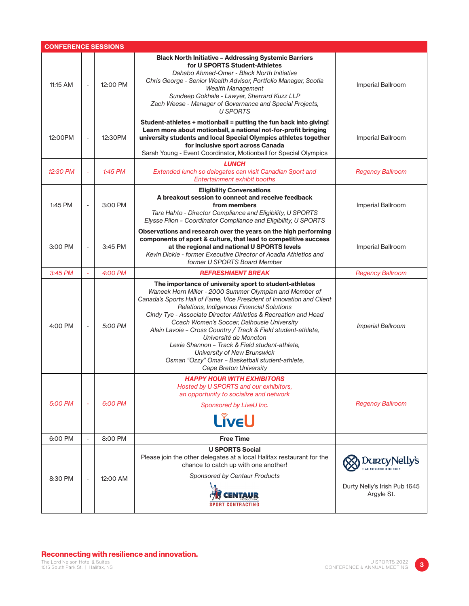| <b>CONFERENCE SESSIONS</b> |                          |           |                                                                                                                                                                                                                                                                                                                                                                                                                                                                                                                                                                                                                 |                                                             |  |
|----------------------------|--------------------------|-----------|-----------------------------------------------------------------------------------------------------------------------------------------------------------------------------------------------------------------------------------------------------------------------------------------------------------------------------------------------------------------------------------------------------------------------------------------------------------------------------------------------------------------------------------------------------------------------------------------------------------------|-------------------------------------------------------------|--|
| 11:15 AM                   | $\overline{\phantom{a}}$ | 12:00 PM  | <b>Black North Initiative - Addressing Systemic Barriers</b><br>for U SPORTS Student-Athletes<br>Dahabo Ahmed-Omer - Black North Initiative<br>Chris George - Senior Wealth Advisor, Portfolio Manager, Scotia<br><b>Wealth Management</b><br>Sundeep Gokhale - Lawyer, Sherrard Kuzz LLP<br>Zach Weese - Manager of Governance and Special Projects,<br><b>U SPORTS</b>                                                                                                                                                                                                                                        | Imperial Ballroom                                           |  |
| 12:00PM                    | $\overline{\phantom{a}}$ | 12:30PM   | Student-athletes + motionball = putting the fun back into giving!<br>Learn more about motionball, a national not-for-profit bringing<br>university students and local Special Olympics athletes together<br>for inclusive sport across Canada<br>Sarah Young - Event Coordinator, Motionball for Special Olympics                                                                                                                                                                                                                                                                                               | Imperial Ballroom                                           |  |
| 12:30 PM                   | $\sim$                   | $1:45$ PM | <b>LUNCH</b><br>Extended lunch so delegates can visit Canadian Sport and<br>Entertainment exhibit booths                                                                                                                                                                                                                                                                                                                                                                                                                                                                                                        | <b>Regency Ballroom</b>                                     |  |
| 1:45 PM                    | $\sim$                   | 3:00 PM   | <b>Eligibility Conversations</b><br>A breakout session to connect and receive feedback<br>from members<br>Tara Hahto - Director Compliance and Eligibility, U SPORTS<br>Elysse Pilon - Coordinator Compliance and Eligibility, U SPORTS                                                                                                                                                                                                                                                                                                                                                                         | Imperial Ballroom                                           |  |
| 3:00 PM                    | $\sim$                   | 3:45 PM   | Observations and research over the years on the high performing<br>components of sport & culture, that lead to competitive success<br>at the regional and national U SPORTS levels<br>Kevin Dickie - former Executive Director of Acadia Athletics and<br>former U SPORTS Board Member                                                                                                                                                                                                                                                                                                                          | Imperial Ballroom                                           |  |
| 3:45 PM                    | $\sim$                   | 4:00 PM   | <b>REFRESHMENT BREAK</b>                                                                                                                                                                                                                                                                                                                                                                                                                                                                                                                                                                                        | <b>Regency Ballroom</b>                                     |  |
| 4:00 PM                    | $\sim$                   | 5:00 PM   | The importance of university sport to student-athletes<br>Waneek Horn Miller - 2000 Summer Olympian and Member of<br>Canada's Sports Hall of Fame, Vice President of Innovation and Client<br>Relations, Indigenous Financial Solutions<br>Cindy Tye - Associate Director Athletics & Recreation and Head<br>Coach Women's Soccer, Dalhousie University<br>Alain Lavoie - Cross Country / Track & Field student-athlete,<br>Université de Moncton<br>Lexie Shannon - Track & Field student-athlete,<br>University of New Brunswick<br>Osman "Ozzy" Omar - Basketball student-athlete,<br>Cape Breton University | <b>Imperial Ballroom</b>                                    |  |
| 5:00 PM                    |                          | 6:00 PM   | <b>HAPPY HOUR WITH EXHIBITORS</b><br>Hosted by U SPORTS and our exhibitors,<br>an opportunity to socialize and network<br>Sponsored by LiveU Inc.<br>LÎVEU                                                                                                                                                                                                                                                                                                                                                                                                                                                      | <b>Regency Ballroom</b>                                     |  |
| 6:00 PM                    |                          | 8:00 PM   | <b>Free Time</b>                                                                                                                                                                                                                                                                                                                                                                                                                                                                                                                                                                                                |                                                             |  |
| 8:30 PM                    | $\overline{\phantom{a}}$ | 12:00 AM  | <b>U SPORTS Social</b><br>Please join the other delegates at a local Halifax restaurant for the<br>chance to catch up with one another!<br>Sponsored by Centaur Products<br><b>SPORT CONTRACTING</b>                                                                                                                                                                                                                                                                                                                                                                                                            | DURTy Nelly's<br>Durty Nelly's Irish Pub 1645<br>Argyle St. |  |

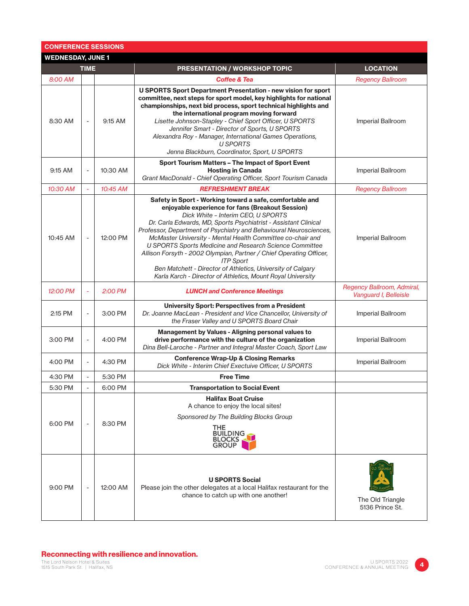| <b>CONFERENCE SESSIONS</b> |                          |          |                                                                                                                                                                                                                                                                                                                                                                                                                                                                                                                                                                                                                                               |                                                     |  |  |  |
|----------------------------|--------------------------|----------|-----------------------------------------------------------------------------------------------------------------------------------------------------------------------------------------------------------------------------------------------------------------------------------------------------------------------------------------------------------------------------------------------------------------------------------------------------------------------------------------------------------------------------------------------------------------------------------------------------------------------------------------------|-----------------------------------------------------|--|--|--|
| <b>WEDNESDAY, JUNE 1</b>   |                          |          |                                                                                                                                                                                                                                                                                                                                                                                                                                                                                                                                                                                                                                               |                                                     |  |  |  |
|                            | <b>TIME</b>              |          | PRESENTATION / WORKSHOP TOPIC                                                                                                                                                                                                                                                                                                                                                                                                                                                                                                                                                                                                                 | <b>LOCATION</b>                                     |  |  |  |
| 8:00 AM                    |                          |          | <b>Coffee &amp; Tea</b>                                                                                                                                                                                                                                                                                                                                                                                                                                                                                                                                                                                                                       | <b>Regency Ballroom</b>                             |  |  |  |
| 8:30 AM                    | $\overline{\phantom{a}}$ | 9:15 AM  | <b>U SPORTS Sport Department Presentation - new vision for sport</b><br>committee, next steps for sport model, key highlights for national<br>championships, next bid process, sport technical highlights and<br>the international program moving forward<br>Lisette Johnson-Stapley - Chief Sport Officer, U SPORTS<br>Jennifer Smart - Director of Sports, U SPORTS<br>Alexandra Roy - Manager, International Games Operations,<br><b>U SPORTS</b><br>Jenna Blackburn, Coordinator, Sport, U SPORTS                                                                                                                                         | Imperial Ballroom                                   |  |  |  |
| 9:15 AM                    | $\overline{\phantom{a}}$ | 10:30 AM | Sport Tourism Matters - The Impact of Sport Event<br><b>Hosting in Canada</b><br>Grant MacDonald - Chief Operating Officer, Sport Tourism Canada                                                                                                                                                                                                                                                                                                                                                                                                                                                                                              | Imperial Ballroom                                   |  |  |  |
| 10:30 AM                   | $\bar{\phantom{a}}$      | 10:45 AM | <b>REFRESHMENT BREAK</b>                                                                                                                                                                                                                                                                                                                                                                                                                                                                                                                                                                                                                      | <b>Regency Ballroom</b>                             |  |  |  |
| 10:45 AM                   | $\overline{\phantom{a}}$ | 12:00 PM | Safety in Sport - Working toward a safe, comfortable and<br>enjoyable experience for fans (Breakout Session)<br>Dick White - Interim CEO, U SPORTS<br>Dr. Carla Edwards, MD, Sports Psychiatrist - Assistant Clinical<br>Professor, Department of Psychiatry and Behavioural Neurosciences,<br>McMaster University - Mental Health Committee co-chair and<br>U SPORTS Sports Medicine and Research Science Committee<br>Allison Forsyth - 2002 Olympian, Partner / Chief Operating Officer,<br><b>ITP Sport</b><br>Ben Matchett - Director of Athletics, University of Calgary<br>Karla Karch - Director of Athletics, Mount Royal University | Imperial Ballroom                                   |  |  |  |
| 12:00 PM                   | ÷,                       | 2:00 PM  | <b>LUNCH and Conference Meetings</b>                                                                                                                                                                                                                                                                                                                                                                                                                                                                                                                                                                                                          | Regency Ballroom, Admiral,<br>Vanguard I, Belleisle |  |  |  |
| 2:15 PM                    |                          | 3:00 PM  | <b>University Sport: Perspectives from a President</b><br>Dr. Joanne MacLean - President and Vice Chancellor, University of<br>the Fraser Valley and U SPORTS Board Chair                                                                                                                                                                                                                                                                                                                                                                                                                                                                     | Imperial Ballroom                                   |  |  |  |
| 3:00 PM                    |                          | 4:00 PM  | <b>Management by Values - Aligning personal values to</b><br>drive performance with the culture of the organization<br>Dina Bell-Laroche - Partner and Integral Master Coach, Sport Law                                                                                                                                                                                                                                                                                                                                                                                                                                                       | Imperial Ballroom                                   |  |  |  |
| 4:00 PM                    | $\overline{\phantom{a}}$ | 4:30 PM  | <b>Conference Wrap-Up &amp; Closing Remarks</b><br>Dick White - Interim Chief Exectuive Officer, U SPORTS                                                                                                                                                                                                                                                                                                                                                                                                                                                                                                                                     | Imperial Ballroom                                   |  |  |  |
| 4:30 PM                    |                          | 5:30 PM  | <b>Free Time</b>                                                                                                                                                                                                                                                                                                                                                                                                                                                                                                                                                                                                                              |                                                     |  |  |  |
| 5:30 PM                    |                          | 6:00 PM  | <b>Transportation to Social Event</b>                                                                                                                                                                                                                                                                                                                                                                                                                                                                                                                                                                                                         |                                                     |  |  |  |
| 6:00 PM                    | $\overline{\phantom{a}}$ | 8:30 PM  | <b>Halifax Boat Cruise</b><br>A chance to enjoy the local sites!<br>Sponsored by The Building Blocks Group<br>THE<br><b>BUILDING</b><br><b>BLOCKS</b><br><b>GROUP</b>                                                                                                                                                                                                                                                                                                                                                                                                                                                                         |                                                     |  |  |  |
| 9:00 PM                    |                          | 12:00 AM | <b>U SPORTS Social</b><br>Please join the other delegates at a local Halifax restaurant for the<br>chance to catch up with one another!                                                                                                                                                                                                                                                                                                                                                                                                                                                                                                       | The Old Triangle<br>5136 Prince St.                 |  |  |  |